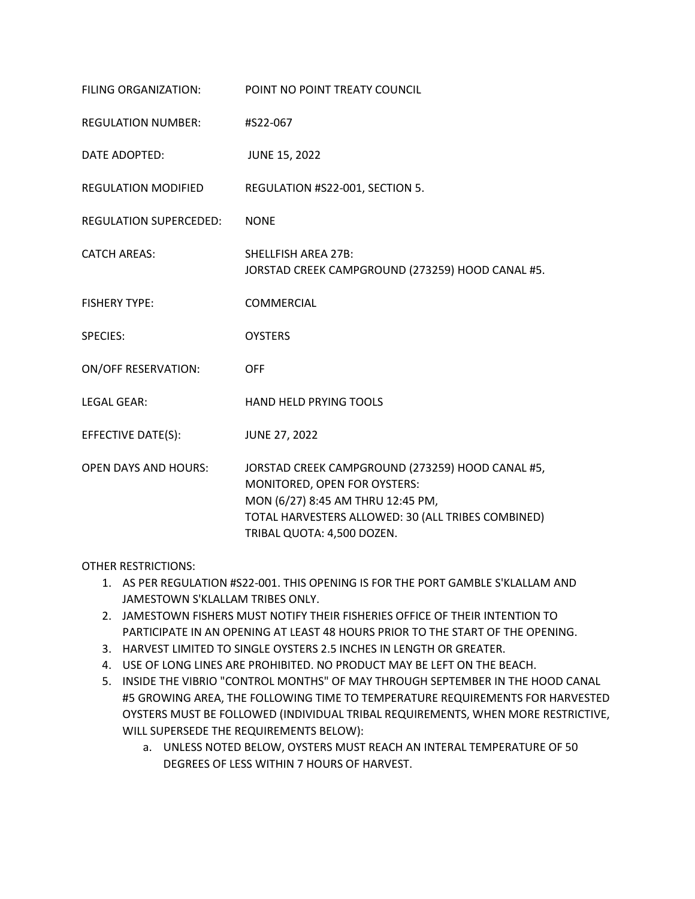| FILING ORGANIZATION:          | POINT NO POINT TREATY COUNCIL                                                                                                                                                                             |
|-------------------------------|-----------------------------------------------------------------------------------------------------------------------------------------------------------------------------------------------------------|
| <b>REGULATION NUMBER:</b>     | #S22-067                                                                                                                                                                                                  |
| DATE ADOPTED:                 | <b>JUNE 15, 2022</b>                                                                                                                                                                                      |
| <b>REGULATION MODIFIED</b>    | REGULATION #S22-001, SECTION 5.                                                                                                                                                                           |
| <b>REGULATION SUPERCEDED:</b> | <b>NONE</b>                                                                                                                                                                                               |
| <b>CATCH AREAS:</b>           | <b>SHELLFISH AREA 27B:</b><br>JORSTAD CREEK CAMPGROUND (273259) HOOD CANAL #5.                                                                                                                            |
| <b>FISHERY TYPE:</b>          | <b>COMMERCIAL</b>                                                                                                                                                                                         |
| <b>SPECIES:</b>               | <b>OYSTERS</b>                                                                                                                                                                                            |
| <b>ON/OFF RESERVATION:</b>    | <b>OFF</b>                                                                                                                                                                                                |
| <b>LEGAL GEAR:</b>            | <b>HAND HELD PRYING TOOLS</b>                                                                                                                                                                             |
| EFFECTIVE DATE(S):            | <b>JUNE 27, 2022</b>                                                                                                                                                                                      |
| <b>OPEN DAYS AND HOURS:</b>   | JORSTAD CREEK CAMPGROUND (273259) HOOD CANAL #5,<br>MONITORED, OPEN FOR OYSTERS:<br>MON (6/27) 8:45 AM THRU 12:45 PM,<br>TOTAL HARVESTERS ALLOWED: 30 (ALL TRIBES COMBINED)<br>TRIBAL QUOTA: 4,500 DOZEN. |

OTHER RESTRICTIONS:

- 1. AS PER REGULATION #S22-001. THIS OPENING IS FOR THE PORT GAMBLE S'KLALLAM AND JAMESTOWN S'KLALLAM TRIBES ONLY.
- 2. JAMESTOWN FISHERS MUST NOTIFY THEIR FISHERIES OFFICE OF THEIR INTENTION TO PARTICIPATE IN AN OPENING AT LEAST 48 HOURS PRIOR TO THE START OF THE OPENING.
- 3. HARVEST LIMITED TO SINGLE OYSTERS 2.5 INCHES IN LENGTH OR GREATER.
- 4. USE OF LONG LINES ARE PROHIBITED. NO PRODUCT MAY BE LEFT ON THE BEACH.
- 5. INSIDE THE VIBRIO "CONTROL MONTHS" OF MAY THROUGH SEPTEMBER IN THE HOOD CANAL #5 GROWING AREA, THE FOLLOWING TIME TO TEMPERATURE REQUIREMENTS FOR HARVESTED OYSTERS MUST BE FOLLOWED (INDIVIDUAL TRIBAL REQUIREMENTS, WHEN MORE RESTRICTIVE, WILL SUPERSEDE THE REQUIREMENTS BELOW):
	- a. UNLESS NOTED BELOW, OYSTERS MUST REACH AN INTERAL TEMPERATURE OF 50 DEGREES OF LESS WITHIN 7 HOURS OF HARVEST.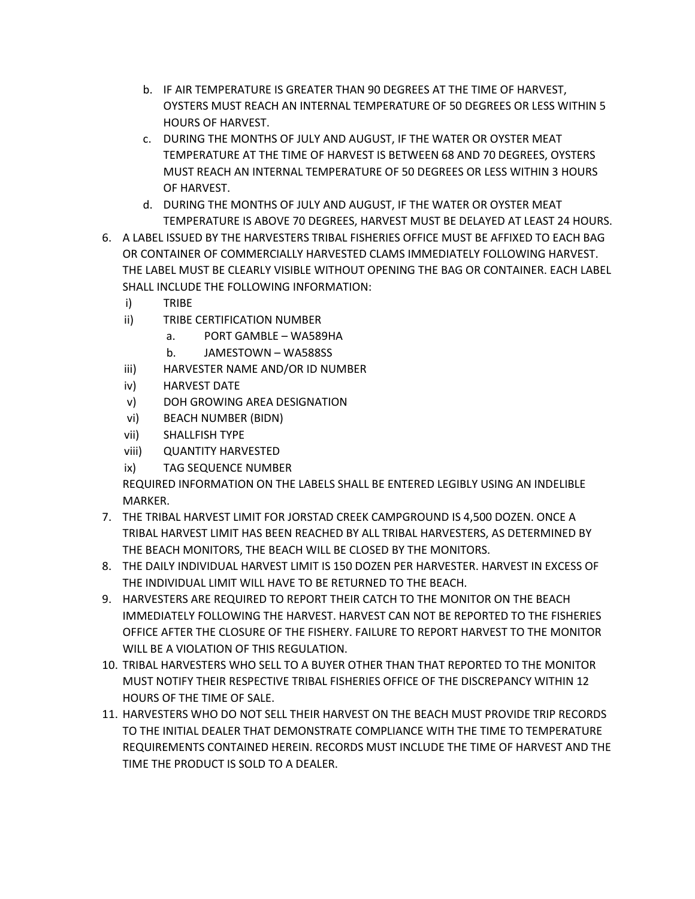- b. IF AIR TEMPERATURE IS GREATER THAN 90 DEGREES AT THE TIME OF HARVEST, OYSTERS MUST REACH AN INTERNAL TEMPERATURE OF 50 DEGREES OR LESS WITHIN 5 HOURS OF HARVEST.
- c. DURING THE MONTHS OF JULY AND AUGUST, IF THE WATER OR OYSTER MEAT TEMPERATURE AT THE TIME OF HARVEST IS BETWEEN 68 AND 70 DEGREES, OYSTERS MUST REACH AN INTERNAL TEMPERATURE OF 50 DEGREES OR LESS WITHIN 3 HOURS OF HARVEST.
- d. DURING THE MONTHS OF JULY AND AUGUST, IF THE WATER OR OYSTER MEAT TEMPERATURE IS ABOVE 70 DEGREES, HARVEST MUST BE DELAYED AT LEAST 24 HOURS.
- 6. A LABEL ISSUED BY THE HARVESTERS TRIBAL FISHERIES OFFICE MUST BE AFFIXED TO EACH BAG OR CONTAINER OF COMMERCIALLY HARVESTED CLAMS IMMEDIATELY FOLLOWING HARVEST. THE LABEL MUST BE CLEARLY VISIBLE WITHOUT OPENING THE BAG OR CONTAINER. EACH LABEL SHALL INCLUDE THE FOLLOWING INFORMATION:
	- i) TRIBE
	- ii) TRIBE CERTIFICATION NUMBER
		- a. PORT GAMBLE WA589HA
		- b. JAMESTOWN WA588SS
	- iii) HARVESTER NAME AND/OR ID NUMBER
	- iv) HARVEST DATE
	- v) DOH GROWING AREA DESIGNATION
	- vi) BEACH NUMBER (BIDN)
	- vii) SHALLFISH TYPE
	- viii) QUANTITY HARVESTED
	- ix) TAG SEQUENCE NUMBER

REQUIRED INFORMATION ON THE LABELS SHALL BE ENTERED LEGIBLY USING AN INDELIBLE MARKER.

- 7. THE TRIBAL HARVEST LIMIT FOR JORSTAD CREEK CAMPGROUND IS 4,500 DOZEN. ONCE A TRIBAL HARVEST LIMIT HAS BEEN REACHED BY ALL TRIBAL HARVESTERS, AS DETERMINED BY THE BEACH MONITORS, THE BEACH WILL BE CLOSED BY THE MONITORS.
- 8. THE DAILY INDIVIDUAL HARVEST LIMIT IS 150 DOZEN PER HARVESTER. HARVEST IN EXCESS OF THE INDIVIDUAL LIMIT WILL HAVE TO BE RETURNED TO THE BEACH.
- 9. HARVESTERS ARE REQUIRED TO REPORT THEIR CATCH TO THE MONITOR ON THE BEACH IMMEDIATELY FOLLOWING THE HARVEST. HARVEST CAN NOT BE REPORTED TO THE FISHERIES OFFICE AFTER THE CLOSURE OF THE FISHERY. FAILURE TO REPORT HARVEST TO THE MONITOR WILL BE A VIOLATION OF THIS REGULATION.
- 10. TRIBAL HARVESTERS WHO SELL TO A BUYER OTHER THAN THAT REPORTED TO THE MONITOR MUST NOTIFY THEIR RESPECTIVE TRIBAL FISHERIES OFFICE OF THE DISCREPANCY WITHIN 12 HOURS OF THE TIME OF SALE.
- 11. HARVESTERS WHO DO NOT SELL THEIR HARVEST ON THE BEACH MUST PROVIDE TRIP RECORDS TO THE INITIAL DEALER THAT DEMONSTRATE COMPLIANCE WITH THE TIME TO TEMPERATURE REQUIREMENTS CONTAINED HEREIN. RECORDS MUST INCLUDE THE TIME OF HARVEST AND THE TIME THE PRODUCT IS SOLD TO A DEALER.